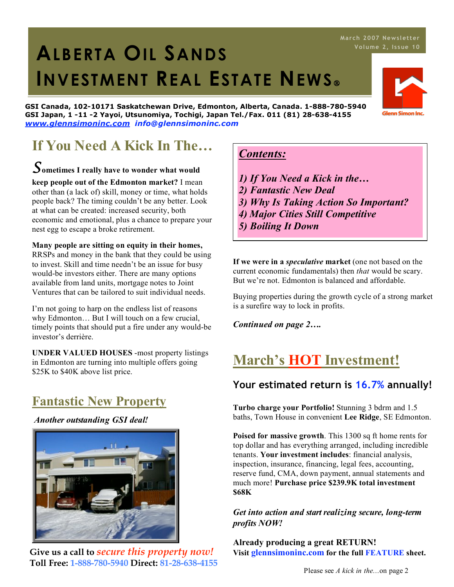# 1. **ALBERTA OIL SANDS INVESTMENT REAL ESTATE NEWS**

**GSI Canada, 102-10171 Saskatchewan Drive, Edmonton, Alberta, Canada. 1-888-780-5940 GSI Japan, 1 -11 -2 Yayoi, Utsunomiya, Tochigi, Japan Tel./Fax. 011 (81) 28-638-4155** *www.glennsimoninc.com info@glennsimoninc.com*

# **If You Need A Kick In The…**

# *S***ometimes <sup>I</sup> really have to wonder what would …**

**keep people out of the Edmonton market?** I mean other than (a lack of) skill, money or time, what holds people back? The timing couldn't be any better. Look at what can be created: increased security, both economic and emotional, plus a chance to prepare your nest egg to escape a broke retirement.

#### **Many people are sitting on equity in their homes,**

RRSPs and money in the bank that they could be using to invest. Skill and time needn't be an issue for busy would-be investors either. There are many options available from land units, mortgage notes to Joint Ventures that can be tailored to suit individual needs.

I'm not going to harp on the endless list of reasons why Edmonton… But I will touch on a few crucial, timely points that should put a fire under any would-be investor's derrière.

**UNDER VALUED HOUSES** -most property listings in Edmonton are turning into multiple offers going \$25K to \$40K above list price.

## **Fantastic New Property**

*Another outstanding GSI deal!*



**Give us a call to** *secure this property now!* **Toll Free: 1-888-780-5940 Direct: 81-28-638-4155**

### *Contents:*

- *1) If You Need a Kick in the…*
- *2) Fantastic New Deal*
- *3) Why Is Taking Action So Important?*
- *4) Major Cities Still Competitive*
- *5) Boiling It Down*

**If we were in a** *speculative* **market** (one not based on the current economic fundamentals) then *that* would be scary. But we're not. Edmonton is balanced and affordable.

Buying properties during the growth cycle of a strong market is a surefire way to lock in profits.

*Continued on page 2….*

## **March's HOT Investment!**

### **Your estimated return is 16.7% annually!**

**Turbo charge your Portfolio!** Stunning 3 bdrm and 1.5 baths, Town House in convenient **Lee Ridge**, SE Edmonton.

**Poised for massive growth**. This 1300 sq ft home rents for top dollar and has everything arranged, including incredible tenants. **Your investment includes**: financial analysis, inspection, insurance, financing, legal fees, accounting, reserve fund, CMA, down payment, annual statements and much more! **Purchase price \$239.9K total investment \$68K**

*Get into action and start realizing secure, long-term profits NOW!*

**Already producing a great RETURN! Visit glennsimoninc.com for the full FEATURE sheet.**



## **Ma rch 2007 News l ett er**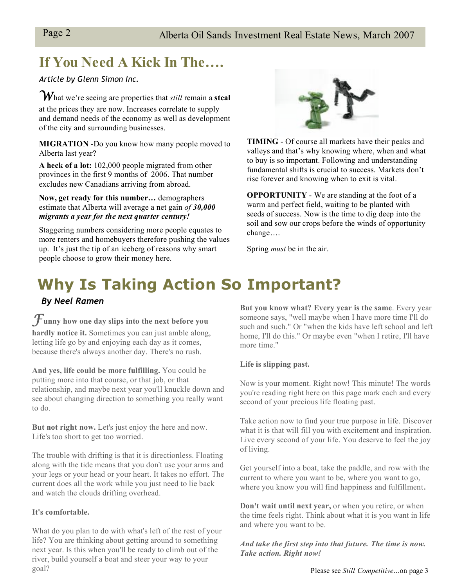## **If You Need A Kick In The….**

*Article by Glenn Simon Inc.*

*W*hat we're seeing are properties that *still* remain <sup>a</sup>**steal** at the prices they are now. Increases correlate to supply and demand needs of the economy as well as development of the city and surrounding businesses.

**MIGRATION** -Do you know how many people moved to Alberta last year?

**A heck of a lot:** 102,000 people migrated from other provinces in the first 9 months of 2006. That number excludes new Canadians arriving from abroad.

**Now, get ready for this number…** demographers estimate that Alberta will average a net gain *of 30,000 migrants a year for the next quarter century!*

Staggering numbers considering more people equates to more renters and homebuyers therefore pushing the values up. It's just the tip of an iceberg of reasons why smart people choose to grow their money here.



**TIMING** - Of course all markets have their peaks and valleys and that's why knowing where, when and what to buy is so important. Following and understanding fundamental shifts is crucial to success. Markets don't rise forever and knowing when to exit is vital.

**OPPORTUNITY** - We are standing at the foot of a warm and perfect field, waiting to be planted with seeds of success. Now is the time to dig deep into the soil and sow our crops before the winds of opportunity change….

Spring *must* be in the air.

# **Why Is Taking Action So Important?**

#### *By Neel Ramen*

*F***unny how one day slips into the next before you** 

**hardly notice it.** Sometimes you can just amble along, letting life go by and enjoying each day as it comes, because there's always another day. There's no rush.

**And yes, life could be more fulfilling.** You could be putting more into that course, or that job, or that relationship, and maybe next year you'll knuckle down and see about changing direction to something you really want to do.

**But not right now.** Let's just enjoy the here and now. Life's too short to get too worried.

The trouble with drifting is that it is directionless. Floating along with the tide means that you don't use your arms and your legs or your head or your heart. It takes no effort. The current does all the work while you just need to lie back and watch the clouds drifting overhead.

#### **It's comfortable.**

What do you plan to do with what's left of the rest of your life? You are thinking about getting around to something next year. Is this when you'll be ready to climb out of the river, build yourself a boat and steer your way to your goal?

**But you know what? Every year is the same**. Every year someone says, "well maybe when I have more time I'll do such and such." Or "when the kids have left school and left home, I'll do this." Or maybe even "when I retire, I'll have more time."

#### **Life is slipping past.**

Now is your moment. Right now! This minute! The words you're reading right here on this page mark each and every second of your precious life floating past.

Take action now to find your true purpose in life. Discover what it is that will fill you with excitement and inspiration. Live every second of your life. You deserve to feel the joy of living.

Get yourself into a boat, take the paddle, and row with the current to where you want to be, where you want to go, where you know you will find happiness and fulfillment.

**Don't wait until next year,** or when you retire, or when the time feels right. Think about what it is you want in life and where you want to be.

*And take the first step into that future. The time is now. Take action. Right now!*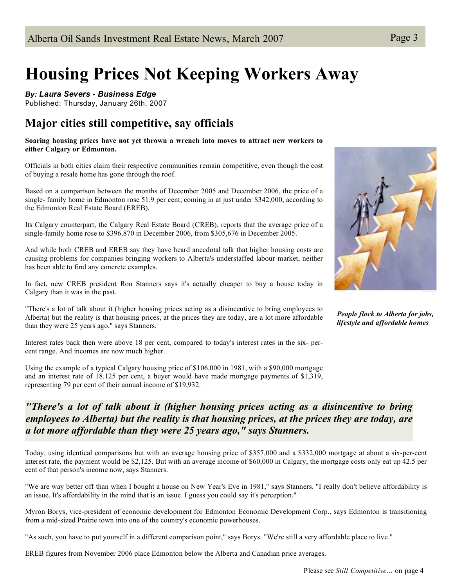# **Housing Prices Not Keeping Workers Away**

*By: Laura Severs - Business Edge*

Published: Thursday, January 26th, 2007

### **Major cities still competitive, say officials**

**Soaring housing prices have not yet thrown a wrench into moves to attract new workers to either Calgary or Edmonton.**

Officials in both cities claim their respective communities remain competitive, even though the cost of buying a resale home has gone through the roof.

Based on a comparison between the months of December 2005 and December 2006, the price of a single- family home in Edmonton rose 51.9 per cent, coming in at just under \$342,000, according to the Edmonton Real Estate Board (EREB).

Its Calgary counterpart, the Calgary Real Estate Board (CREB), reports that the average price of a single-family home rose to \$396,870 in December 2006, from \$305,676 in December 2005.

And while both CREB and EREB say they have heard anecdotal talk that higher housing costs are causing problems for companies bringing workers to Alberta's understaffed labour market, neither has been able to find any concrete examples.

In fact, new CREB president Ron Stanners says it's actually cheaper to buy a house today in Calgary than it was in the past.

"There's a lot of talk about it (higher housing prices acting as a disincentive to bring employees to Alberta) but the reality is that housing prices, at the prices they are today, are a lot more affordable than they were 25 years ago," says Stanners.

Interest rates back then were above 18 per cent, compared to today's interest rates in the six- percent range. And incomes are now much higher.

Using the example of a typical Calgary housing price of \$106,000 in 1981, with a \$90,000 mortgage and an interest rate of 18.125 per cent, a buyer would have made mortgage payments of \$1,319, representing 79 per cent of their annual income of \$19,932.



*People flock to Alberta for jobs, lifestyle and affordable homes*

### *"There's a lot of talk about it (higher housing prices acting as a disincentive to bring employees to Alberta) but the reality is that housing prices, at the prices they are today, are a lot more affordable than they were 25 years ago," says Stanners.*

Today, using identical comparisons but with an average housing price of \$357,000 and a \$332,000 mortgage at about a six-per-cent interest rate, the payment would be \$2,125. But with an average income of \$60,000 in Calgary, the mortgage costs only eat up 42.5 per cent of that person's income now, says Stanners.

"We are way better off than when I bought a house on New Year's Eve in 1981," says Stanners. "I really don't believe affordability is an issue. It's affordability in the mind that is an issue. I guess you could say it's perception."

Myron Borys, vice-president of economic development for Edmonton Economic Development Corp., says Edmonton is transitioning from a mid-sized Prairie town into one of the country's economic powerhouses.

"As such, you have to put yourself in a different comparison point," says Borys. "We're still a very affordable place to live."

EREB figures from November 2006 place Edmonton below the Alberta and Canadian price averages.